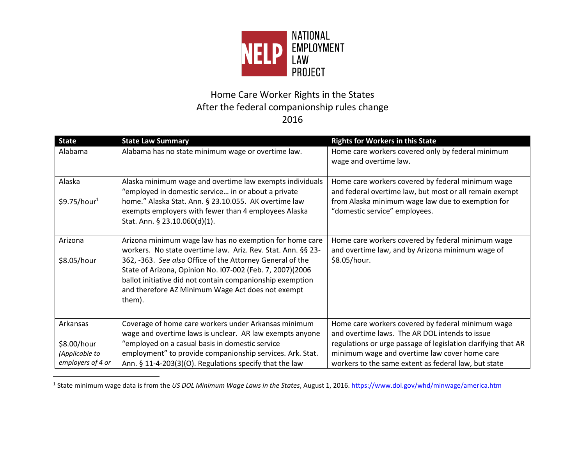

## Home Care Worker Rights in the States After the federal companionship rules change 2016

| <b>State</b>             | <b>State Law Summary</b>                                                                                                                                                                                                                           | <b>Rights for Workers in this State</b>                                                                      |
|--------------------------|----------------------------------------------------------------------------------------------------------------------------------------------------------------------------------------------------------------------------------------------------|--------------------------------------------------------------------------------------------------------------|
| Alabama                  | Alabama has no state minimum wage or overtime law.                                                                                                                                                                                                 | Home care workers covered only by federal minimum<br>wage and overtime law.                                  |
| Alaska                   | Alaska minimum wage and overtime law exempts individuals<br>"employed in domestic service in or about a private                                                                                                                                    | Home care workers covered by federal minimum wage<br>and federal overtime law, but most or all remain exempt |
| \$9.75/hour <sup>1</sup> | home." Alaska Stat. Ann. § 23.10.055. AK overtime law<br>exempts employers with fewer than 4 employees Alaska<br>Stat. Ann. § 23.10.060(d)(1).                                                                                                     | from Alaska minimum wage law due to exemption for<br>"domestic service" employees.                           |
| Arizona                  | Arizona minimum wage law has no exemption for home care<br>workers. No state overtime law. Ariz. Rev. Stat. Ann. §§ 23-                                                                                                                            | Home care workers covered by federal minimum wage<br>and overtime law, and by Arizona minimum wage of        |
| \$8.05/hour              | 362, -363. See also Office of the Attorney General of the<br>State of Arizona, Opinion No. 107-002 (Feb. 7, 2007)(2006<br>ballot initiative did not contain companionship exemption<br>and therefore AZ Minimum Wage Act does not exempt<br>them). | \$8.05/hour.                                                                                                 |
| Arkansas                 | Coverage of home care workers under Arkansas minimum                                                                                                                                                                                               | Home care workers covered by federal minimum wage                                                            |
|                          | wage and overtime laws is unclear. AR law exempts anyone                                                                                                                                                                                           | and overtime laws. The AR DOL intends to issue                                                               |
| \$8.00/hour              | "employed on a casual basis in domestic service                                                                                                                                                                                                    | regulations or urge passage of legislation clarifying that AR                                                |
| (Applicable to           | employment" to provide companionship services. Ark. Stat.                                                                                                                                                                                          | minimum wage and overtime law cover home care                                                                |
| employers of 4 or        | Ann. § 11-4-203(3)(O). Regulations specify that the law                                                                                                                                                                                            | workers to the same extent as federal law, but state                                                         |

<sup>&</sup>lt;sup>1</sup> State minimum wage data is from the *US DOL Minimum Wage Laws in the States*, August 1, 2016. https://www.dol.gov/whd/minwage/america.htm

 $\overline{\phantom{0}}$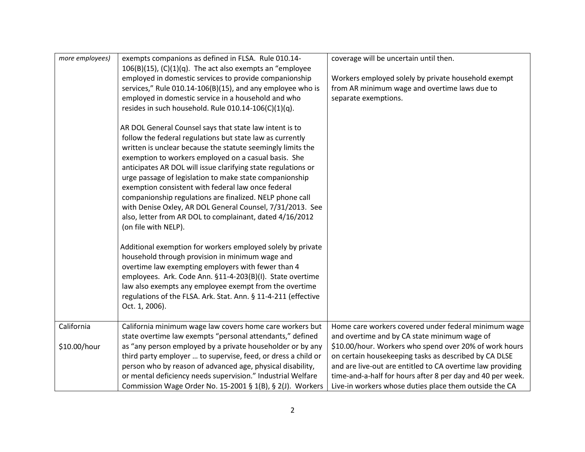| more employees) | exempts companions as defined in FLSA. Rule 010.14-<br>$106(B)(15)$ , (C)(1)(q). The act also exempts an "employee | coverage will be uncertain until then.                     |
|-----------------|--------------------------------------------------------------------------------------------------------------------|------------------------------------------------------------|
|                 | employed in domestic services to provide companionship                                                             | Workers employed solely by private household exempt        |
|                 | services," Rule 010.14-106(B)(15), and any employee who is                                                         | from AR minimum wage and overtime laws due to              |
|                 | employed in domestic service in a household and who                                                                | separate exemptions.                                       |
|                 | resides in such household. Rule 010.14-106(C)(1)(q).                                                               |                                                            |
|                 | AR DOL General Counsel says that state law intent is to                                                            |                                                            |
|                 | follow the federal regulations but state law as currently                                                          |                                                            |
|                 | written is unclear because the statute seemingly limits the                                                        |                                                            |
|                 | exemption to workers employed on a casual basis. She                                                               |                                                            |
|                 | anticipates AR DOL will issue clarifying state regulations or                                                      |                                                            |
|                 | urge passage of legislation to make state companionship<br>exemption consistent with federal law once federal      |                                                            |
|                 | companionship regulations are finalized. NELP phone call                                                           |                                                            |
|                 | with Denise Oxley, AR DOL General Counsel, 7/31/2013. See                                                          |                                                            |
|                 | also, letter from AR DOL to complainant, dated 4/16/2012                                                           |                                                            |
|                 | (on file with NELP).                                                                                               |                                                            |
|                 |                                                                                                                    |                                                            |
|                 | Additional exemption for workers employed solely by private                                                        |                                                            |
|                 | household through provision in minimum wage and                                                                    |                                                            |
|                 | overtime law exempting employers with fewer than 4                                                                 |                                                            |
|                 | employees. Ark. Code Ann. §11-4-203(B)(I). State overtime                                                          |                                                            |
|                 | law also exempts any employee exempt from the overtime                                                             |                                                            |
|                 | regulations of the FLSA. Ark. Stat. Ann. § 11-4-211 (effective                                                     |                                                            |
|                 | Oct. 1, 2006).                                                                                                     |                                                            |
| California      | California minimum wage law covers home care workers but                                                           | Home care workers covered under federal minimum wage       |
|                 | state overtime law exempts "personal attendants," defined                                                          | and overtime and by CA state minimum wage of               |
| \$10.00/hour    | as "any person employed by a private householder or by any                                                         | \$10.00/hour. Workers who spend over 20% of work hours     |
|                 | third party employer  to supervise, feed, or dress a child or                                                      | on certain housekeeping tasks as described by CA DLSE      |
|                 | person who by reason of advanced age, physical disability,                                                         | and are live-out are entitled to CA overtime law providing |
|                 | or mental deficiency needs supervision." Industrial Welfare                                                        | time-and-a-half for hours after 8 per day and 40 per week. |
|                 | Commission Wage Order No. 15-2001 § 1(B), § 2(J). Workers                                                          | Live-in workers whose duties place them outside the CA     |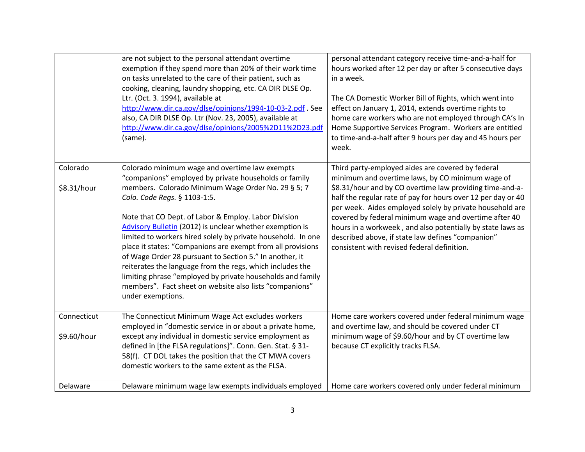|                         | are not subject to the personal attendant overtime<br>exemption if they spend more than 20% of their work time<br>on tasks unrelated to the care of their patient, such as<br>cooking, cleaning, laundry shopping, etc. CA DIR DLSE Op.<br>Ltr. (Oct. 3. 1994), available at<br>http://www.dir.ca.gov/dlse/opinions/1994-10-03-2.pdf. See<br>also, CA DIR DLSE Op. Ltr (Nov. 23, 2005), available at<br>http://www.dir.ca.gov/dlse/opinions/2005%2D11%2D23.pdf<br>(same).                                                                                                                                                                                                                                                     | personal attendant category receive time-and-a-half for<br>hours worked after 12 per day or after 5 consecutive days<br>in a week.<br>The CA Domestic Worker Bill of Rights, which went into<br>effect on January 1, 2014, extends overtime rights to<br>home care workers who are not employed through CA's In<br>Home Supportive Services Program. Workers are entitled<br>to time-and-a-half after 9 hours per day and 45 hours per<br>week.                                                                          |
|-------------------------|-------------------------------------------------------------------------------------------------------------------------------------------------------------------------------------------------------------------------------------------------------------------------------------------------------------------------------------------------------------------------------------------------------------------------------------------------------------------------------------------------------------------------------------------------------------------------------------------------------------------------------------------------------------------------------------------------------------------------------|--------------------------------------------------------------------------------------------------------------------------------------------------------------------------------------------------------------------------------------------------------------------------------------------------------------------------------------------------------------------------------------------------------------------------------------------------------------------------------------------------------------------------|
|                         |                                                                                                                                                                                                                                                                                                                                                                                                                                                                                                                                                                                                                                                                                                                               |                                                                                                                                                                                                                                                                                                                                                                                                                                                                                                                          |
| Colorado<br>\$8.31/hour | Colorado minimum wage and overtime law exempts<br>"companions" employed by private households or family<br>members. Colorado Minimum Wage Order No. 29 § 5; 7<br>Colo. Code Regs. § 1103-1:5.<br>Note that CO Dept. of Labor & Employ. Labor Division<br><b>Advisory Bulletin (2012) is unclear whether exemption is</b><br>limited to workers hired solely by private household. In one<br>place it states: "Companions are exempt from all provisions<br>of Wage Order 28 pursuant to Section 5." In another, it<br>reiterates the language from the regs, which includes the<br>limiting phrase "employed by private households and family<br>members". Fact sheet on website also lists "companions"<br>under exemptions. | Third party-employed aides are covered by federal<br>minimum and overtime laws, by CO minimum wage of<br>\$8.31/hour and by CO overtime law providing time-and-a-<br>half the regular rate of pay for hours over 12 per day or 40<br>per week. Aides employed solely by private household are<br>covered by federal minimum wage and overtime after 40<br>hours in a workweek, and also potentially by state laws as<br>described above, if state law defines "companion"<br>consistent with revised federal definition. |
|                         |                                                                                                                                                                                                                                                                                                                                                                                                                                                                                                                                                                                                                                                                                                                               |                                                                                                                                                                                                                                                                                                                                                                                                                                                                                                                          |
| Connecticut             | The Connecticut Minimum Wage Act excludes workers<br>employed in "domestic service in or about a private home,                                                                                                                                                                                                                                                                                                                                                                                                                                                                                                                                                                                                                | Home care workers covered under federal minimum wage<br>and overtime law, and should be covered under CT                                                                                                                                                                                                                                                                                                                                                                                                                 |
| \$9.60/hour             | except any individual in domestic service employment as<br>defined in [the FLSA regulations]". Conn. Gen. Stat. § 31-<br>58(f). CT DOL takes the position that the CT MWA covers<br>domestic workers to the same extent as the FLSA.                                                                                                                                                                                                                                                                                                                                                                                                                                                                                          | minimum wage of \$9.60/hour and by CT overtime law<br>because CT explicitly tracks FLSA.                                                                                                                                                                                                                                                                                                                                                                                                                                 |
| Delaware                | Delaware minimum wage law exempts individuals employed                                                                                                                                                                                                                                                                                                                                                                                                                                                                                                                                                                                                                                                                        | Home care workers covered only under federal minimum                                                                                                                                                                                                                                                                                                                                                                                                                                                                     |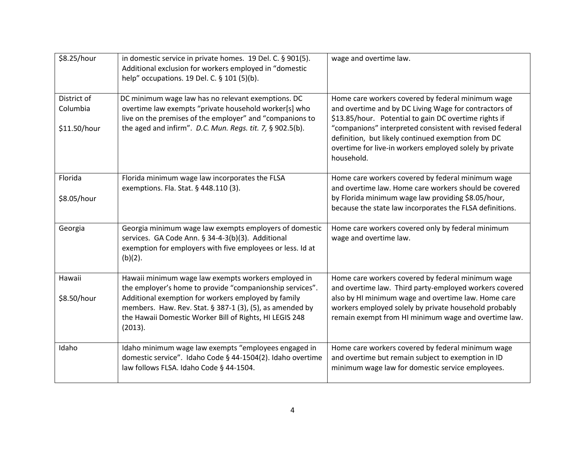| \$8.25/hour  | in domestic service in private homes. 19 Del. C. § 901(5).<br>Additional exclusion for workers employed in "domestic<br>help" occupations. 19 Del. C. § 101 (5)(b).                   | wage and overtime law.                                                                                                                                                                  |
|--------------|---------------------------------------------------------------------------------------------------------------------------------------------------------------------------------------|-----------------------------------------------------------------------------------------------------------------------------------------------------------------------------------------|
| District of  | DC minimum wage law has no relevant exemptions. DC                                                                                                                                    | Home care workers covered by federal minimum wage                                                                                                                                       |
| Columbia     | overtime law exempts "private household worker[s] who<br>live on the premises of the employer" and "companions to                                                                     | and overtime and by DC Living Wage for contractors of<br>\$13.85/hour. Potential to gain DC overtime rights if                                                                          |
| \$11.50/hour | the aged and infirm". D.C. Mun. Regs. tit. 7, § 902.5(b).                                                                                                                             | "companions" interpreted consistent with revised federal<br>definition, but likely continued exemption from DC<br>overtime for live-in workers employed solely by private<br>household. |
| Florida      | Florida minimum wage law incorporates the FLSA<br>exemptions. Fla. Stat. § 448.110 (3).                                                                                               | Home care workers covered by federal minimum wage<br>and overtime law. Home care workers should be covered                                                                              |
| \$8.05/hour  |                                                                                                                                                                                       | by Florida minimum wage law providing \$8.05/hour,<br>because the state law incorporates the FLSA definitions.                                                                          |
| Georgia      | Georgia minimum wage law exempts employers of domestic<br>services. GA Code Ann. § 34-4-3(b)(3). Additional<br>exemption for employers with five employees or less. Id at<br>(b)(2).  | Home care workers covered only by federal minimum<br>wage and overtime law.                                                                                                             |
| Hawaii       | Hawaii minimum wage law exempts workers employed in<br>the employer's home to provide "companionship services".                                                                       | Home care workers covered by federal minimum wage<br>and overtime law. Third party-employed workers covered                                                                             |
| \$8.50/hour  | Additional exemption for workers employed by family<br>members. Haw. Rev. Stat. § 387-1 (3), (5), as amended by<br>the Hawaii Domestic Worker Bill of Rights, HI LEGIS 248<br>(2013). | also by HI minimum wage and overtime law. Home care<br>workers employed solely by private household probably<br>remain exempt from HI minimum wage and overtime law.                    |
| Idaho        | Idaho minimum wage law exempts "employees engaged in<br>domestic service". Idaho Code § 44-1504(2). Idaho overtime<br>law follows FLSA. Idaho Code § 44-1504.                         | Home care workers covered by federal minimum wage<br>and overtime but remain subject to exemption in ID<br>minimum wage law for domestic service employees.                             |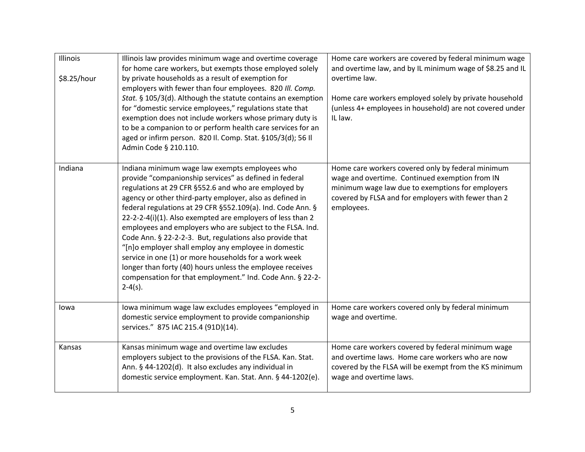| Illinois<br>\$8.25/hour | Illinois law provides minimum wage and overtime coverage<br>for home care workers, but exempts those employed solely<br>by private households as a result of exemption for<br>employers with fewer than four employees. 820 Ill. Comp.<br>Stat. § 105/3(d). Although the statute contains an exemption<br>for "domestic service employees," regulations state that<br>exemption does not include workers whose primary duty is<br>to be a companion to or perform health care services for an<br>aged or infirm person. 820 Il. Comp. Stat. §105/3(d); 56 Il<br>Admin Code § 210.110.                                                                                                                                                       | Home care workers are covered by federal minimum wage<br>and overtime law, and by IL minimum wage of \$8.25 and IL<br>overtime law.<br>Home care workers employed solely by private household<br>(unless 4+ employees in household) are not covered under<br>IL law. |
|-------------------------|---------------------------------------------------------------------------------------------------------------------------------------------------------------------------------------------------------------------------------------------------------------------------------------------------------------------------------------------------------------------------------------------------------------------------------------------------------------------------------------------------------------------------------------------------------------------------------------------------------------------------------------------------------------------------------------------------------------------------------------------|----------------------------------------------------------------------------------------------------------------------------------------------------------------------------------------------------------------------------------------------------------------------|
| Indiana                 | Indiana minimum wage law exempts employees who<br>provide "companionship services" as defined in federal<br>regulations at 29 CFR §552.6 and who are employed by<br>agency or other third-party employer, also as defined in<br>federal regulations at 29 CFR §552.109(a). Ind. Code Ann. §<br>22-2-2-4(i)(1). Also exempted are employers of less than 2<br>employees and employers who are subject to the FLSA. Ind.<br>Code Ann. § 22-2-2-3. But, regulations also provide that<br>"[n]o employer shall employ any employee in domestic<br>service in one (1) or more households for a work week<br>longer than forty (40) hours unless the employee receives<br>compensation for that employment." Ind. Code Ann. § 22-2-<br>$2-4(s)$ . | Home care workers covered only by federal minimum<br>wage and overtime. Continued exemption from IN<br>minimum wage law due to exemptions for employers<br>covered by FLSA and for employers with fewer than 2<br>employees.                                         |
| lowa                    | Iowa minimum wage law excludes employees "employed in<br>domestic service employment to provide companionship<br>services." 875 IAC 215.4 (91D)(14).                                                                                                                                                                                                                                                                                                                                                                                                                                                                                                                                                                                        | Home care workers covered only by federal minimum<br>wage and overtime.                                                                                                                                                                                              |
| Kansas                  | Kansas minimum wage and overtime law excludes<br>employers subject to the provisions of the FLSA. Kan. Stat.<br>Ann. § 44-1202(d). It also excludes any individual in<br>domestic service employment. Kan. Stat. Ann. § 44-1202(e).                                                                                                                                                                                                                                                                                                                                                                                                                                                                                                         | Home care workers covered by federal minimum wage<br>and overtime laws. Home care workers who are now<br>covered by the FLSA will be exempt from the KS minimum<br>wage and overtime laws.                                                                           |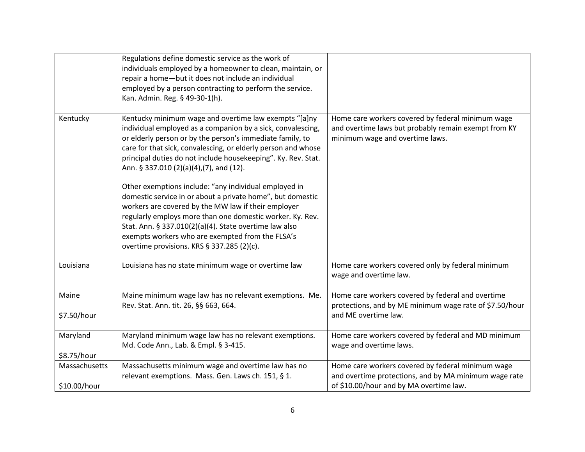|                               | Regulations define domestic service as the work of<br>individuals employed by a homeowner to clean, maintain, or<br>repair a home-but it does not include an individual<br>employed by a person contracting to perform the service.<br>Kan. Admin. Reg. § 49-30-1(h).                                                                                                                               |                                                                                                                                                       |
|-------------------------------|-----------------------------------------------------------------------------------------------------------------------------------------------------------------------------------------------------------------------------------------------------------------------------------------------------------------------------------------------------------------------------------------------------|-------------------------------------------------------------------------------------------------------------------------------------------------------|
| Kentucky                      | Kentucky minimum wage and overtime law exempts "[a]ny<br>individual employed as a companion by a sick, convalescing,<br>or elderly person or by the person's immediate family, to<br>care for that sick, convalescing, or elderly person and whose<br>principal duties do not include housekeeping". Ky. Rev. Stat.<br>Ann. § 337.010 (2)(a)(4),(7), and (12).                                      | Home care workers covered by federal minimum wage<br>and overtime laws but probably remain exempt from KY<br>minimum wage and overtime laws.          |
|                               | Other exemptions include: "any individual employed in<br>domestic service in or about a private home", but domestic<br>workers are covered by the MW law if their employer<br>regularly employs more than one domestic worker. Ky. Rev.<br>Stat. Ann. § 337.010(2)(a)(4). State overtime law also<br>exempts workers who are exempted from the FLSA's<br>overtime provisions. KRS § 337.285 (2)(c). |                                                                                                                                                       |
| Louisiana                     | Louisiana has no state minimum wage or overtime law                                                                                                                                                                                                                                                                                                                                                 | Home care workers covered only by federal minimum<br>wage and overtime law.                                                                           |
| Maine<br>\$7.50/hour          | Maine minimum wage law has no relevant exemptions. Me.<br>Rev. Stat. Ann. tit. 26, §§ 663, 664.                                                                                                                                                                                                                                                                                                     | Home care workers covered by federal and overtime<br>protections, and by ME minimum wage rate of \$7.50/hour<br>and ME overtime law.                  |
| Maryland<br>\$8.75/hour       | Maryland minimum wage law has no relevant exemptions.<br>Md. Code Ann., Lab. & Empl. § 3-415.                                                                                                                                                                                                                                                                                                       | Home care workers covered by federal and MD minimum<br>wage and overtime laws.                                                                        |
| Massachusetts<br>\$10.00/hour | Massachusetts minimum wage and overtime law has no<br>relevant exemptions. Mass. Gen. Laws ch. 151, § 1.                                                                                                                                                                                                                                                                                            | Home care workers covered by federal minimum wage<br>and overtime protections, and by MA minimum wage rate<br>of \$10.00/hour and by MA overtime law. |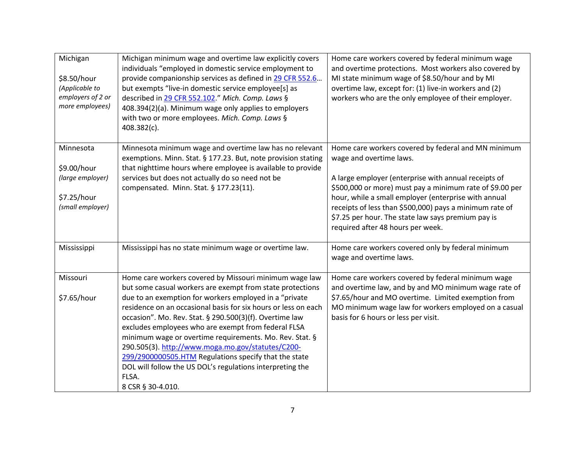| Michigan<br>\$8.50/hour<br>(Applicable to<br>employers of 2 or<br>more employees) | Michigan minimum wage and overtime law explicitly covers<br>individuals "employed in domestic service employment to<br>provide companionship services as defined in 29 CFR 552.6<br>but exempts "live-in domestic service employee[s] as<br>described in 29 CFR 552.102." Mich. Comp. Laws §<br>408.394(2)(a). Minimum wage only applies to employers<br>with two or more employees. Mich. Comp. Laws §<br>408.382(c).                                                                                         | Home care workers covered by federal minimum wage<br>and overtime protections. Most workers also covered by<br>MI state minimum wage of \$8.50/hour and by MI<br>overtime law, except for: (1) live-in workers and (2)<br>workers who are the only employee of their employer. |
|-----------------------------------------------------------------------------------|----------------------------------------------------------------------------------------------------------------------------------------------------------------------------------------------------------------------------------------------------------------------------------------------------------------------------------------------------------------------------------------------------------------------------------------------------------------------------------------------------------------|--------------------------------------------------------------------------------------------------------------------------------------------------------------------------------------------------------------------------------------------------------------------------------|
| Minnesota<br>\$9.00/hour                                                          | Minnesota minimum wage and overtime law has no relevant<br>exemptions. Minn. Stat. § 177.23. But, note provision stating<br>that nighttime hours where employee is available to provide                                                                                                                                                                                                                                                                                                                        | Home care workers covered by federal and MN minimum<br>wage and overtime laws.                                                                                                                                                                                                 |
| (large employer)                                                                  | services but does not actually do so need not be<br>compensated. Minn. Stat. § 177.23(11).                                                                                                                                                                                                                                                                                                                                                                                                                     | A large employer (enterprise with annual receipts of<br>\$500,000 or more) must pay a minimum rate of \$9.00 per                                                                                                                                                               |
| \$7.25/hour<br>(small employer)                                                   |                                                                                                                                                                                                                                                                                                                                                                                                                                                                                                                | hour, while a small employer (enterprise with annual                                                                                                                                                                                                                           |
|                                                                                   |                                                                                                                                                                                                                                                                                                                                                                                                                                                                                                                | receipts of less than \$500,000) pays a minimum rate of<br>\$7.25 per hour. The state law says premium pay is<br>required after 48 hours per week.                                                                                                                             |
| Mississippi                                                                       | Mississippi has no state minimum wage or overtime law.                                                                                                                                                                                                                                                                                                                                                                                                                                                         | Home care workers covered only by federal minimum<br>wage and overtime laws.                                                                                                                                                                                                   |
| Missouri                                                                          | Home care workers covered by Missouri minimum wage law<br>but some casual workers are exempt from state protections                                                                                                                                                                                                                                                                                                                                                                                            | Home care workers covered by federal minimum wage<br>and overtime law, and by and MO minimum wage rate of                                                                                                                                                                      |
| \$7.65/hour                                                                       | due to an exemption for workers employed in a "private<br>residence on an occasional basis for six hours or less on each<br>occasion". Mo. Rev. Stat. § 290.500(3)(f). Overtime law<br>excludes employees who are exempt from federal FLSA<br>minimum wage or overtime requirements. Mo. Rev. Stat. §<br>290.505(3). http://www.moga.mo.gov/statutes/C200-<br>299/2900000505.HTM Regulations specify that the state<br>DOL will follow the US DOL's regulations interpreting the<br>FLSA.<br>8 CSR § 30-4.010. | \$7.65/hour and MO overtime. Limited exemption from<br>MO minimum wage law for workers employed on a casual<br>basis for 6 hours or less per visit.                                                                                                                            |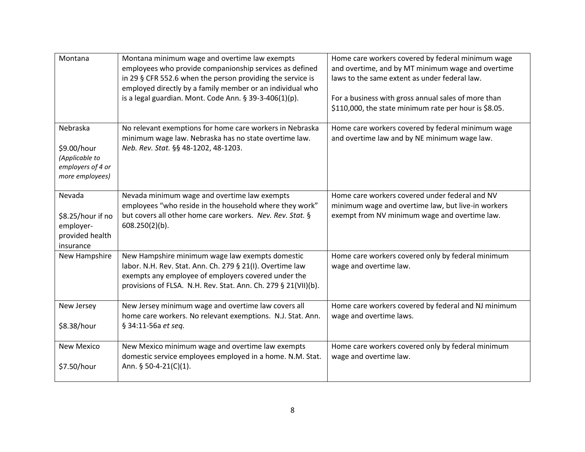| Montana                                                                           | Montana minimum wage and overtime law exempts<br>employees who provide companionship services as defined<br>in 29 § CFR 552.6 when the person providing the service is<br>employed directly by a family member or an individual who<br>is a legal guardian. Mont. Code Ann. § 39-3-406(1)(p). | Home care workers covered by federal minimum wage<br>and overtime, and by MT minimum wage and overtime<br>laws to the same extent as under federal law.<br>For a business with gross annual sales of more than<br>\$110,000, the state minimum rate per hour is \$8.05. |
|-----------------------------------------------------------------------------------|-----------------------------------------------------------------------------------------------------------------------------------------------------------------------------------------------------------------------------------------------------------------------------------------------|-------------------------------------------------------------------------------------------------------------------------------------------------------------------------------------------------------------------------------------------------------------------------|
| Nebraska<br>\$9.00/hour<br>(Applicable to<br>employers of 4 or<br>more employees) | No relevant exemptions for home care workers in Nebraska<br>minimum wage law. Nebraska has no state overtime law.<br>Neb. Rev. Stat. §§ 48-1202, 48-1203.                                                                                                                                     | Home care workers covered by federal minimum wage<br>and overtime law and by NE minimum wage law.                                                                                                                                                                       |
| Nevada<br>\$8.25/hour if no<br>employer-<br>provided health<br>insurance          | Nevada minimum wage and overtime law exempts<br>employees "who reside in the household where they work"<br>but covers all other home care workers. Nev. Rev. Stat. §<br>$608.250(2)(b)$ .                                                                                                     | Home care workers covered under federal and NV<br>minimum wage and overtime law, but live-in workers<br>exempt from NV minimum wage and overtime law.                                                                                                                   |
| New Hampshire                                                                     | New Hampshire minimum wage law exempts domestic<br>labor. N.H. Rev. Stat. Ann. Ch. 279 § 21(I). Overtime law<br>exempts any employee of employers covered under the<br>provisions of FLSA. N.H. Rev. Stat. Ann. Ch. 279 § 21(VII)(b).                                                         | Home care workers covered only by federal minimum<br>wage and overtime law.                                                                                                                                                                                             |
| New Jersey<br>\$8.38/hour                                                         | New Jersey minimum wage and overtime law covers all<br>home care workers. No relevant exemptions. N.J. Stat. Ann.<br>§ 34:11-56a et seq.                                                                                                                                                      | Home care workers covered by federal and NJ minimum<br>wage and overtime laws.                                                                                                                                                                                          |
| <b>New Mexico</b><br>\$7.50/hour                                                  | New Mexico minimum wage and overtime law exempts<br>domestic service employees employed in a home. N.M. Stat.<br>Ann. § 50-4-21(C)(1).                                                                                                                                                        | Home care workers covered only by federal minimum<br>wage and overtime law.                                                                                                                                                                                             |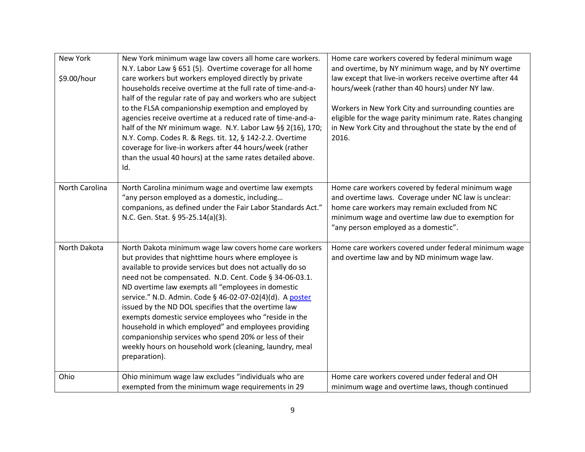| <b>New York</b> | New York minimum wage law covers all home care workers.<br>N.Y. Labor Law § 651 (5). Overtime coverage for all home                                                                                                                                                                                                                                                                                                                                                                                                                                                                                                                                                  | Home care workers covered by federal minimum wage<br>and overtime, by NY minimum wage, and by NY overtime                                                                                                                                                                                              |
|-----------------|----------------------------------------------------------------------------------------------------------------------------------------------------------------------------------------------------------------------------------------------------------------------------------------------------------------------------------------------------------------------------------------------------------------------------------------------------------------------------------------------------------------------------------------------------------------------------------------------------------------------------------------------------------------------|--------------------------------------------------------------------------------------------------------------------------------------------------------------------------------------------------------------------------------------------------------------------------------------------------------|
| \$9.00/hour     | care workers but workers employed directly by private<br>households receive overtime at the full rate of time-and-a-<br>half of the regular rate of pay and workers who are subject<br>to the FLSA companionship exemption and employed by<br>agencies receive overtime at a reduced rate of time-and-a-<br>half of the NY minimum wage. N.Y. Labor Law §§ 2(16), 170;<br>N.Y. Comp. Codes R. & Regs. tit. 12, § 142-2.2. Overtime<br>coverage for live-in workers after 44 hours/week (rather<br>than the usual 40 hours) at the same rates detailed above.<br>Id.                                                                                                  | law except that live-in workers receive overtime after 44<br>hours/week (rather than 40 hours) under NY law.<br>Workers in New York City and surrounding counties are<br>eligible for the wage parity minimum rate. Rates changing<br>in New York City and throughout the state by the end of<br>2016. |
| North Carolina  | North Carolina minimum wage and overtime law exempts<br>"any person employed as a domestic, including<br>companions, as defined under the Fair Labor Standards Act."<br>N.C. Gen. Stat. § 95-25.14(a)(3).                                                                                                                                                                                                                                                                                                                                                                                                                                                            | Home care workers covered by federal minimum wage<br>and overtime laws. Coverage under NC law is unclear:<br>home care workers may remain excluded from NC<br>minimum wage and overtime law due to exemption for<br>"any person employed as a domestic".                                               |
| North Dakota    | North Dakota minimum wage law covers home care workers<br>but provides that nighttime hours where employee is<br>available to provide services but does not actually do so<br>need not be compensated. N.D. Cent. Code § 34-06-03.1.<br>ND overtime law exempts all "employees in domestic<br>service." N.D. Admin. Code § 46-02-07-02(4)(d). A poster<br>issued by the ND DOL specifies that the overtime law<br>exempts domestic service employees who "reside in the<br>household in which employed" and employees providing<br>companionship services who spend 20% or less of their<br>weekly hours on household work (cleaning, laundry, meal<br>preparation). | Home care workers covered under federal minimum wage<br>and overtime law and by ND minimum wage law.                                                                                                                                                                                                   |
| Ohio            | Ohio minimum wage law excludes "individuals who are<br>exempted from the minimum wage requirements in 29                                                                                                                                                                                                                                                                                                                                                                                                                                                                                                                                                             | Home care workers covered under federal and OH<br>minimum wage and overtime laws, though continued                                                                                                                                                                                                     |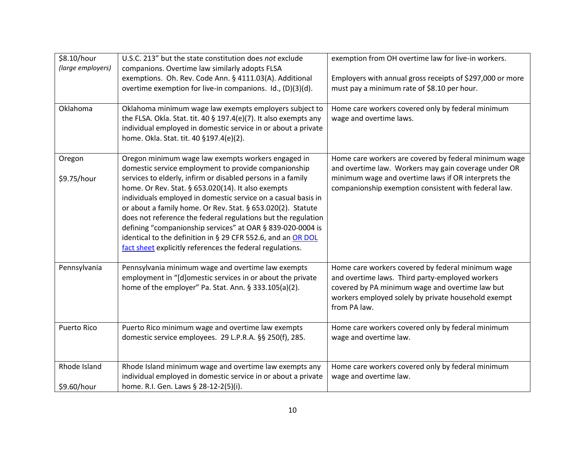| \$8.10/hour<br>(large employers) | U.S.C. 213" but the state constitution does not exclude<br>companions. Overtime law similarly adopts FLSA                                                                                                                                                                                                                                                                                                                                                                                                                                                                                                                   | exemption from OH overtime law for live-in workers.                                                                                                                                                                            |
|----------------------------------|-----------------------------------------------------------------------------------------------------------------------------------------------------------------------------------------------------------------------------------------------------------------------------------------------------------------------------------------------------------------------------------------------------------------------------------------------------------------------------------------------------------------------------------------------------------------------------------------------------------------------------|--------------------------------------------------------------------------------------------------------------------------------------------------------------------------------------------------------------------------------|
|                                  | exemptions. Oh. Rev. Code Ann. § 4111.03(A). Additional<br>overtime exemption for live-in companions. Id., (D)(3)(d).                                                                                                                                                                                                                                                                                                                                                                                                                                                                                                       | Employers with annual gross receipts of \$297,000 or more<br>must pay a minimum rate of \$8.10 per hour.                                                                                                                       |
| Oklahoma                         | Oklahoma minimum wage law exempts employers subject to<br>the FLSA. Okla. Stat. tit. 40 § 197.4(e)(7). It also exempts any<br>individual employed in domestic service in or about a private<br>home. Okla. Stat. tit. 40 §197.4(e)(2).                                                                                                                                                                                                                                                                                                                                                                                      | Home care workers covered only by federal minimum<br>wage and overtime laws.                                                                                                                                                   |
| Oregon<br>\$9.75/hour            | Oregon minimum wage law exempts workers engaged in<br>domestic service employment to provide companionship<br>services to elderly, infirm or disabled persons in a family<br>home. Or Rev. Stat. § 653.020(14). It also exempts<br>individuals employed in domestic service on a casual basis in<br>or about a family home. Or Rev. Stat. § 653.020(2). Statute<br>does not reference the federal regulations but the regulation<br>defining "companionship services" at OAR § 839-020-0004 is<br>identical to the definition in § 29 CFR 552.6, and an OR DOL<br>fact sheet explicitly references the federal regulations. | Home care workers are covered by federal minimum wage<br>and overtime law. Workers may gain coverage under OR<br>minimum wage and overtime laws if OR interprets the<br>companionship exemption consistent with federal law.   |
| Pennsylvania                     | Pennsylvania minimum wage and overtime law exempts<br>employment in "[d]omestic services in or about the private<br>home of the employer" Pa. Stat. Ann. § 333.105(a)(2).                                                                                                                                                                                                                                                                                                                                                                                                                                                   | Home care workers covered by federal minimum wage<br>and overtime laws. Third party-employed workers<br>covered by PA minimum wage and overtime law but<br>workers employed solely by private household exempt<br>from PA law. |
| <b>Puerto Rico</b>               | Puerto Rico minimum wage and overtime law exempts<br>domestic service employees. 29 L.P.R.A. §§ 250(f), 285.                                                                                                                                                                                                                                                                                                                                                                                                                                                                                                                | Home care workers covered only by federal minimum<br>wage and overtime law.                                                                                                                                                    |
| Rhode Island<br>\$9.60/hour      | Rhode Island minimum wage and overtime law exempts any<br>individual employed in domestic service in or about a private<br>home. R.I. Gen. Laws § 28-12-2(5)(i).                                                                                                                                                                                                                                                                                                                                                                                                                                                            | Home care workers covered only by federal minimum<br>wage and overtime law.                                                                                                                                                    |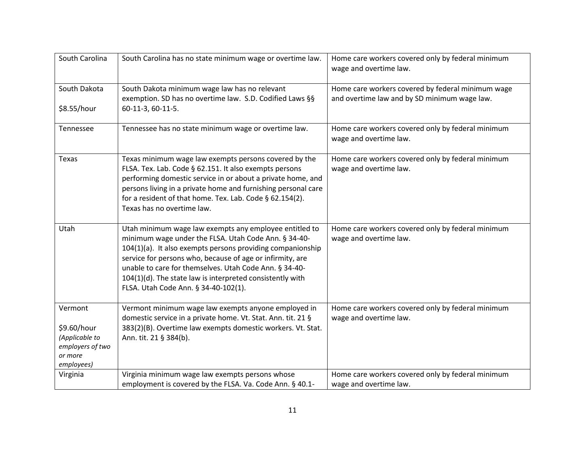| South Carolina                                                                        | South Carolina has no state minimum wage or overtime law.                                                                                                                                                                                                                                                                                                                                                | Home care workers covered only by federal minimum<br>wage and overtime law.                       |
|---------------------------------------------------------------------------------------|----------------------------------------------------------------------------------------------------------------------------------------------------------------------------------------------------------------------------------------------------------------------------------------------------------------------------------------------------------------------------------------------------------|---------------------------------------------------------------------------------------------------|
| South Dakota                                                                          | South Dakota minimum wage law has no relevant<br>exemption. SD has no overtime law. S.D. Codified Laws §§                                                                                                                                                                                                                                                                                                | Home care workers covered by federal minimum wage<br>and overtime law and by SD minimum wage law. |
| \$8.55/hour                                                                           | 60-11-3, 60-11-5.                                                                                                                                                                                                                                                                                                                                                                                        |                                                                                                   |
| Tennessee                                                                             | Tennessee has no state minimum wage or overtime law.                                                                                                                                                                                                                                                                                                                                                     | Home care workers covered only by federal minimum<br>wage and overtime law.                       |
| Texas                                                                                 | Texas minimum wage law exempts persons covered by the<br>FLSA. Tex. Lab. Code § 62.151. It also exempts persons<br>performing domestic service in or about a private home, and<br>persons living in a private home and furnishing personal care<br>for a resident of that home. Tex. Lab. Code § 62.154(2).<br>Texas has no overtime law.                                                                | Home care workers covered only by federal minimum<br>wage and overtime law.                       |
| Utah                                                                                  | Utah minimum wage law exempts any employee entitled to<br>minimum wage under the FLSA. Utah Code Ann. § 34-40-<br>104(1)(a). It also exempts persons providing companionship<br>service for persons who, because of age or infirmity, are<br>unable to care for themselves. Utah Code Ann. § 34-40-<br>104(1)(d). The state law is interpreted consistently with<br>FLSA. Utah Code Ann. § 34-40-102(1). | Home care workers covered only by federal minimum<br>wage and overtime law.                       |
| Vermont<br>\$9.60/hour<br>(Applicable to<br>employers of two<br>or more<br>employees) | Vermont minimum wage law exempts anyone employed in<br>domestic service in a private home. Vt. Stat. Ann. tit. 21 §<br>383(2)(B). Overtime law exempts domestic workers. Vt. Stat.<br>Ann. tit. 21 § 384(b).                                                                                                                                                                                             | Home care workers covered only by federal minimum<br>wage and overtime law.                       |
| Virginia                                                                              | Virginia minimum wage law exempts persons whose                                                                                                                                                                                                                                                                                                                                                          | Home care workers covered only by federal minimum                                                 |
|                                                                                       | employment is covered by the FLSA. Va. Code Ann. § 40.1-                                                                                                                                                                                                                                                                                                                                                 | wage and overtime law.                                                                            |